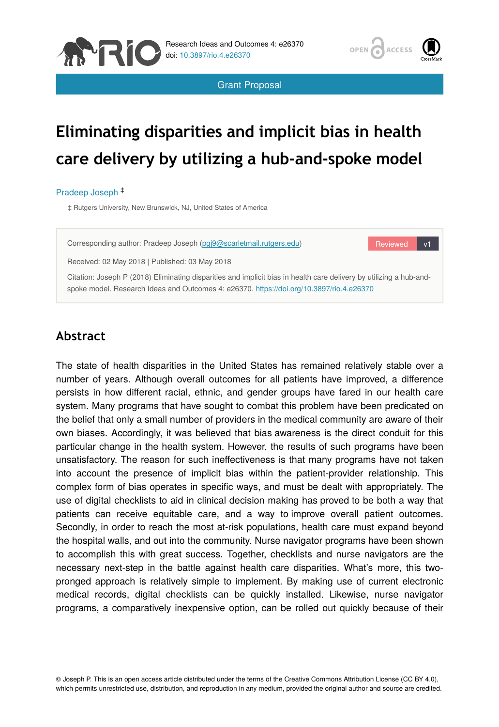



Reviewed v1

Grant Proposal

# **Eliminating disparities and implicit bias in health care delivery by utilizing a hub-and-spoke model**

#### Pradeep Joseph ‡

‡ Rutgers University, New Brunswick, NJ, United States of America

Corresponding author: Pradeep Joseph [\(pgj9@scarletmail.rutgers.edu](mailto:pgj9@scarletmail.rutgers.edu))

Received: 02 May 2018 | Published: 03 May 2018

Citation: Joseph P (2018) Eliminating disparities and implicit bias in health care delivery by utilizing a hub-andspoke model. Research Ideas and Outcomes 4: e26370. <https://doi.org/10.3897/rio.4.e26370>

# **Abstract**

The state of health disparities in the United States has remained relatively stable over a number of years. Although overall outcomes for all patients have improved, a difference persists in how different racial, ethnic, and gender groups have fared in our health care system. Many programs that have sought to combat this problem have been predicated on the belief that only a small number of providers in the medical community are aware of their own biases. Accordingly, it was believed that bias awareness is the direct conduit for this particular change in the health system. However, the results of such programs have been unsatisfactory. The reason for such ineffectiveness is that many programs have not taken into account the presence of implicit bias within the patient-provider relationship. This complex form of bias operates in specific ways, and must be dealt with appropriately. The use of digital checklists to aid in clinical decision making has proved to be both a way that patients can receive equitable care, and a way to improve overall patient outcomes. Secondly, in order to reach the most at-risk populations, health care must expand beyond the hospital walls, and out into the community. Nurse navigator programs have been shown to accomplish this with great success. Together, checklists and nurse navigators are the necessary next-step in the battle against health care disparities. What's more, this twopronged approach is relatively simple to implement. By making use of current electronic medical records, digital checklists can be quickly installed. Likewise, nurse navigator programs, a comparatively inexpensive option, can be rolled out quickly because of their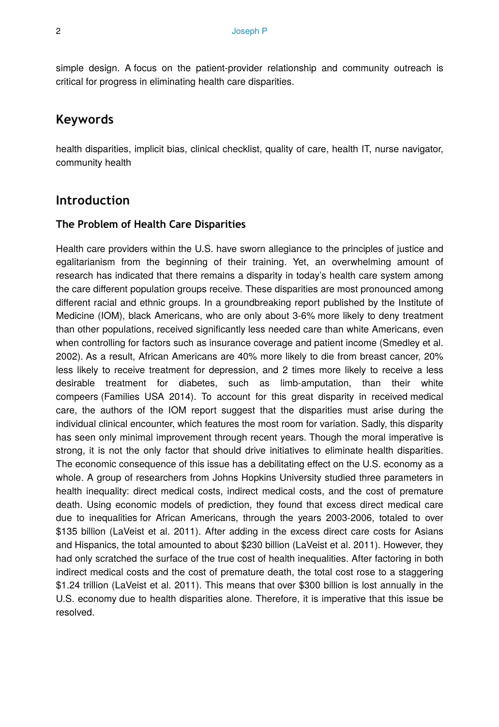simple design. A focus on the patient-provider relationship and community outreach is critical for progress in eliminating health care disparities.

# **Keywords**

health disparities, implicit bias, clinical checklist, quality of care, health IT, nurse navigator, community health

# **Introduction**

#### **The Problem of Health Care Disparities**

Health care providers within the U.S. have sworn allegiance to the principles of justice and egalitarianism from the beginning of their training. Yet, an overwhelming amount of research has indicated that there remains a disparity in today's health care system among the care different population groups receive. These disparities are most pronounced among different racial and ethnic groups. In a groundbreaking report published by the Institute of Medicine (IOM), black Americans, who are only about 3-6% more likely to deny treatment than other populations, received significantly less needed care than white Americans, even when controlling for factors such as insurance coverage and patient income (Smedley et al. 2002). As a result, African Americans are 40% more likely to die from breast cancer, 20% less likely to receive treatment for depression, and 2 times more likely to receive a less desirable treatment for diabetes, such as limb-amputation, than their white compeers (Families USA 2014). To account for this great disparity in received medical care, the authors of the IOM report suggest that the disparities must arise during the individual clinical encounter, which features the most room for variation. Sadly, this disparity has seen only minimal improvement through recent years. Though the moral imperative is strong, it is not the only factor that should drive initiatives to eliminate health disparities. The economic consequence of this issue has a debilitating effect on the U.S. economy as a whole. A group of researchers from Johns Hopkins University studied three parameters in health inequality: direct medical costs, indirect medical costs, and the cost of premature death. Using economic models of prediction, they found that excess direct medical care due to inequalities for African Americans, through the years 2003-2006, totaled to over \$135 billion (LaVeist et al. 2011). After adding in the excess direct care costs for Asians and Hispanics, the total amounted to about \$230 billion (LaVeist et al. 2011). However, they had only scratched the surface of the true cost of health inequalities. After factoring in both indirect medical costs and the cost of premature death, the total cost rose to a staggering \$1.24 trillion (LaVeist et al. 2011). This means that over \$300 billion is lost annually in the U.S. economy due to health disparities alone. Therefore, it is imperative that this issue be resolved.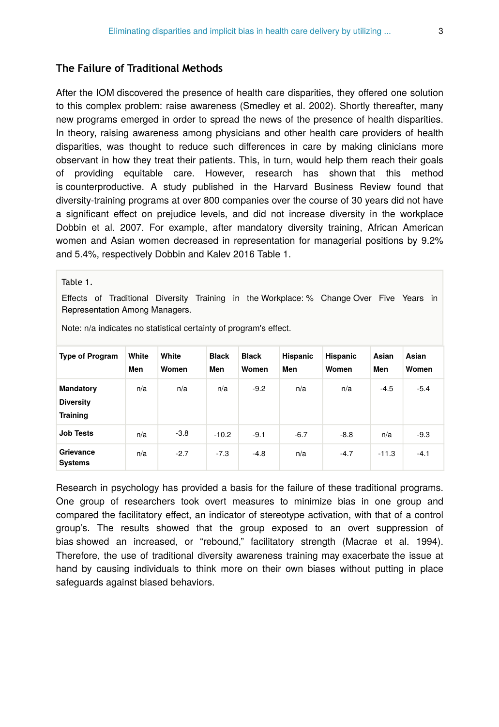#### **The Failure of Traditional Methods**

After the IOM discovered the presence of health care disparities, they offered one solution to this complex problem: raise awareness (Smedley et al. 2002). Shortly thereafter, many new programs emerged in order to spread the news of the presence of health disparities. In theory, raising awareness among physicians and other health care providers of health disparities, was thought to reduce such differences in care by making clinicians more observant in how they treat their patients. This, in turn, would help them reach their goals of providing equitable care. However, research has shown that this method is counterproductive. A study published in the Harvard Business Review found that diversity-training programs at over 800 companies over the course of 30 years did not have a significant effect on prejudice levels, and did not increase diversity in the workplace Dobbin et al. 2007. For example, after mandatory diversity training, African American women and Asian women decreased in representation for managerial positions by 9.2% and 5.4%, respectively Dobbin and Kalev 2016 Table 1.

Table 1.

Effects of Traditional Diversity Training in the Workplace: % Change Over Five Years in Representation Among Managers.

| <b>Type of Program</b>                           | White<br>Men | White<br>Women | <b>Black</b><br>Men | <b>Black</b><br>Women | Hispanic<br>Men | Hispanic<br>Women | Asian<br>Men | Asian<br>Women |
|--------------------------------------------------|--------------|----------------|---------------------|-----------------------|-----------------|-------------------|--------------|----------------|
| Mandatory<br><b>Diversity</b><br><b>Training</b> | n/a          | n/a            | n/a                 | $-9.2$                | n/a             | n/a               | $-4.5$       | $-5.4$         |
| <b>Job Tests</b>                                 | n/a          | $-3.8$         | $-10.2$             | $-9.1$                | $-6.7$          | $-8.8$            | n/a          | $-9.3$         |
| Grievance<br><b>Systems</b>                      | n/a          | $-2.7$         | $-7.3$              | $-4.8$                | n/a             | $-4.7$            | $-11.3$      | $-4.1$         |

Note: n/a indicates no statistical certainty of program's effect.

Research in psychology has provided a basis for the failure of these traditional programs. One group of researchers took overt measures to minimize bias in one group and compared the facilitatory effect, an indicator of stereotype activation, with that of a control group's. The results showed that the group exposed to an overt suppression of bias showed an increased, or "rebound," facilitatory strength (Macrae et al. 1994). Therefore, the use of traditional diversity awareness training may exacerbate the issue at hand by causing individuals to think more on their own biases without putting in place safeguards against biased behaviors.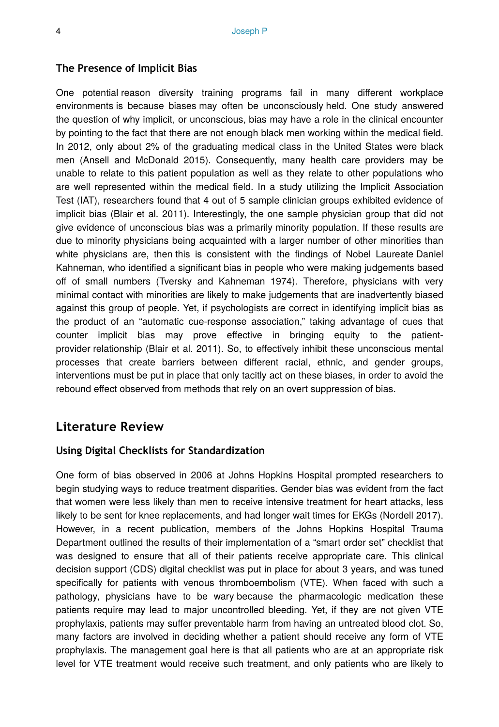#### **The Presence of Implicit Bias**

One potential reason diversity training programs fail in many different workplace environments is because biases may often be unconsciously held. One study answered the question of why implicit, or unconscious, bias may have a role in the clinical encounter by pointing to the fact that there are not enough black men working within the medical field. In 2012, only about 2% of the graduating medical class in the United States were black men (Ansell and McDonald 2015). Consequently, many health care providers may be unable to relate to this patient population as well as they relate to other populations who are well represented within the medical field. In a study utilizing the Implicit Association Test (IAT), researchers found that 4 out of 5 sample clinician groups exhibited evidence of implicit bias (Blair et al. 2011). Interestingly, the one sample physician group that did not give evidence of unconscious bias was a primarily minority population. If these results are due to minority physicians being acquainted with a larger number of other minorities than white physicians are, then this is consistent with the findings of Nobel Laureate Daniel Kahneman, who identified a significant bias in people who were making judgements based off of small numbers (Tversky and Kahneman 1974). Therefore, physicians with very minimal contact with minorities are likely to make judgements that are inadvertently biased against this group of people. Yet, if psychologists are correct in identifying implicit bias as the product of an "automatic cue-response association," taking advantage of cues that counter implicit bias may prove effective in bringing equity to the patientprovider relationship (Blair et al. 2011). So, to effectively inhibit these unconscious mental processes that create barriers between different racial, ethnic, and gender groups, interventions must be put in place that only tacitly act on these biases, in order to avoid the rebound effect observed from methods that rely on an overt suppression of bias.

### **Literature Review**

#### **Using Digital Checklists for Standardization**

One form of bias observed in 2006 at Johns Hopkins Hospital prompted researchers to begin studying ways to reduce treatment disparities. Gender bias was evident from the fact that women were less likely than men to receive intensive treatment for heart attacks, less likely to be sent for knee replacements, and had longer wait times for EKGs (Nordell 2017). However, in a recent publication, members of the Johns Hopkins Hospital Trauma Department outlined the results of their implementation of a "smart order set" checklist that was designed to ensure that all of their patients receive appropriate care. This clinical decision support (CDS) digital checklist was put in place for about 3 years, and was tuned specifically for patients with venous thromboembolism (VTE). When faced with such a pathology, physicians have to be wary because the pharmacologic medication these patients require may lead to major uncontrolled bleeding. Yet, if they are not given VTE prophylaxis, patients may suffer preventable harm from having an untreated blood clot. So, many factors are involved in deciding whether a patient should receive any form of VTE prophylaxis. The management goal here is that all patients who are at an appropriate risk level for VTE treatment would receive such treatment, and only patients who are likely to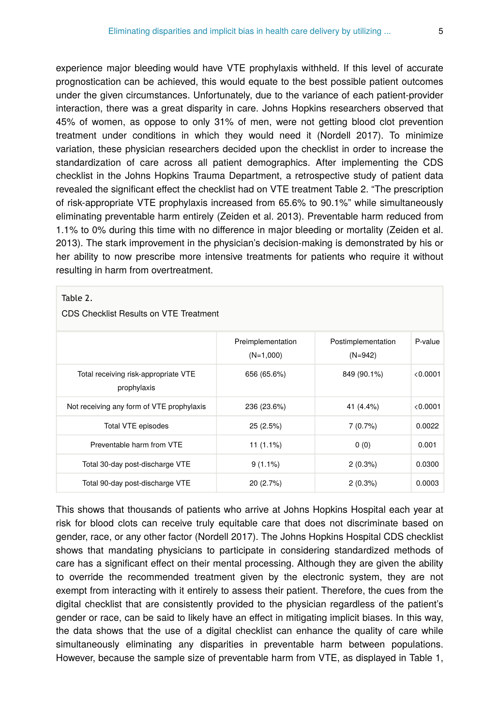experience major bleeding would have VTE prophylaxis withheld. If this level of accurate prognostication can be achieved, this would equate to the best possible patient outcomes under the given circumstances. Unfortunately, due to the variance of each patient-provider interaction, there was a great disparity in care. Johns Hopkins researchers observed that 45% of women, as oppose to only 31% of men, were not getting blood clot prevention treatment under conditions in which they would need it (Nordell 2017). To minimize variation, these physician researchers decided upon the checklist in order to increase the standardization of care across all patient demographics. After implementing the CDS checklist in the Johns Hopkins Trauma Department, a retrospective study of patient data revealed the significant effect the checklist had on VTE treatment Table 2. "The prescription of risk-appropriate VTE prophylaxis increased from 65.6% to 90.1%" while simultaneously eliminating preventable harm entirely (Zeiden et al. 2013). Preventable harm reduced from 1.1% to 0% during this time with no difference in major bleeding or mortality (Zeiden et al. 2013). The stark improvement in the physician's decision-making is demonstrated by his or her ability to now prescribe more intensive treatments for patients who require it without resulting in harm from overtreatment.

## Preimplementation (N=1,000) Postimplementation (N=942) P-value Total receiving risk-appropriate VTE prophylaxis 656 (65.6%) 849 (90.1%) <0.0001 Not receiving any form of VTE prophylaxis 236 (23.6%) 41 (4.4%) 41 (4.4%) 40.0001 Total VTE episodes 25 (2.5%) 7 (0.7%) 0.0022 Preventable harm from VTE 11 (1.1%) 0 (0) 0.001 Total 30-day post-discharge VTE 9 (1.1%) 9 (1.1%) 2 (0.3%) 0.0300 Total 90-day post-discharge VTE 20 (2.7%) 2 (0.3%) 0.0003 Table 2. CDS Checklist Results on VTE Treatment

This shows that thousands of patients who arrive at Johns Hopkins Hospital each year at risk for blood clots can receive truly equitable care that does not discriminate based on gender, race, or any other factor (Nordell 2017). The Johns Hopkins Hospital CDS checklist shows that mandating physicians to participate in considering standardized methods of care has a significant effect on their mental processing. Although they are given the ability to override the recommended treatment given by the electronic system, they are not exempt from interacting with it entirely to assess their patient. Therefore, the cues from the digital checklist that are consistently provided to the physician regardless of the patient's gender or race, can be said to likely have an effect in mitigating implicit biases. In this way, the data shows that the use of a digital checklist can enhance the quality of care while simultaneously eliminating any disparities in preventable harm between populations. However, because the sample size of preventable harm from VTE, as displayed in Table 1,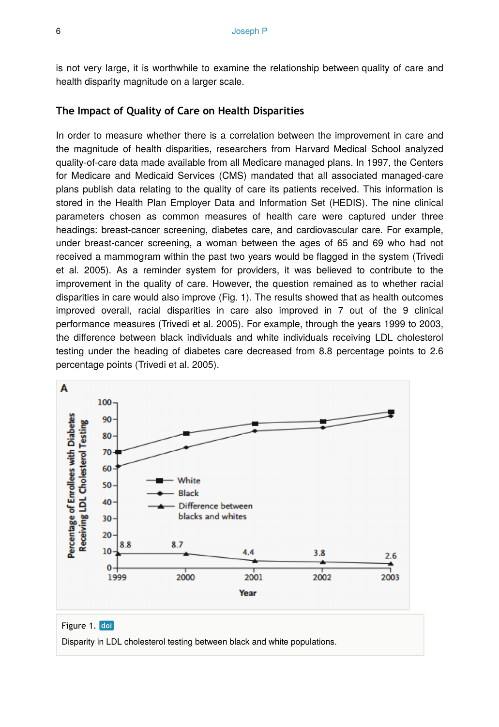is not very large, it is worthwhile to examine the relationship between quality of care and health disparity magnitude on a larger scale.

#### **The Impact of Quality of Care on Health Disparities**

In order to measure whether there is a correlation between the improvement in care and the magnitude of health disparities, researchers from Harvard Medical School analyzed quality-of-care data made available from all Medicare managed plans. In 1997, the Centers for Medicare and Medicaid Services (CMS) mandated that all associated managed-care plans publish data relating to the quality of care its patients received. This information is stored in the Health Plan Employer Data and Information Set (HEDIS). The nine clinical parameters chosen as common measures of health care were captured under three headings: breast-cancer screening, diabetes care, and cardiovascular care. For example, under breast-cancer screening, a woman between the ages of 65 and 69 who had not received a mammogram within the past two years would be flagged in the system (Trivedi et al. 2005). As a reminder system for providers, it was believed to contribute to the improvement in the quality of care. However, the question remained as to whether racial disparities in care would also improve (Fig. 1). The results showed that as health outcomes improved overall, racial disparities in care also improved in 7 out of the 9 clinical performance measures (Trivedi et al. 2005). For example, through the years 1999 to 2003, the difference between black individuals and white individuals receiving LDL cholesterol testing under the heading of diabetes care decreased from 8.8 percentage points to 2.6 percentage points (Trivedi et al. 2005).



#### Figure 1. doi

Disparity in LDL cholesterol testing between black and white populations.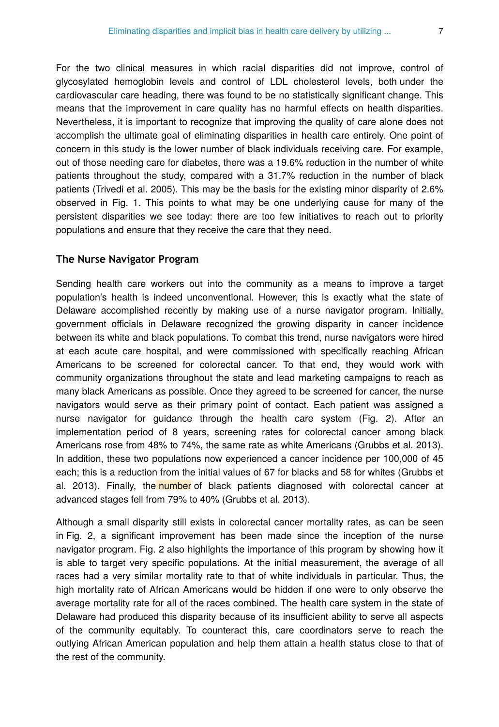For the two clinical measures in which racial disparities did not improve, control of glycosylated hemoglobin levels and control of LDL cholesterol levels, both under the cardiovascular care heading, there was found to be no statistically significant change. This means that the improvement in care quality has no harmful effects on health disparities. Nevertheless, it is important to recognize that improving the quality of care alone does not accomplish the ultimate goal of eliminating disparities in health care entirely. One point of concern in this study is the lower number of black individuals receiving care. For example, out of those needing care for diabetes, there was a 19.6% reduction in the number of white patients throughout the study, compared with a 31.7% reduction in the number of black patients (Trivedi et al. 2005). This may be the basis for the existing minor disparity of 2.6% observed in Fig. 1. This points to what may be one underlying cause for many of the persistent disparities we see today: there are too few initiatives to reach out to priority populations and ensure that they receive the care that they need.

#### **The Nurse Navigator Program**

Sending health care workers out into the community as a means to improve a target population's health is indeed unconventional. However, this is exactly what the state of Delaware accomplished recently by making use of a nurse navigator program. Initially, government officials in Delaware recognized the growing disparity in cancer incidence between its white and black populations. To combat this trend, nurse navigators were hired at each acute care hospital, and were commissioned with specifically reaching African Americans to be screened for colorectal cancer. To that end, they would work with community organizations throughout the state and lead marketing campaigns to reach as many black Americans as possible. Once they agreed to be screened for cancer, the nurse navigators would serve as their primary point of contact. Each patient was assigned a nurse navigator for guidance through the health care system (Fig. 2). After an implementation period of 8 years, screening rates for colorectal cancer among black Americans rose from 48% to 74%, the same rate as white Americans (Grubbs et al. 2013). In addition, these two populations now experienced a cancer incidence per 100,000 of 45 each; this is a reduction from the initial values of 67 for blacks and 58 for whites (Grubbs et al. 2013). Finally, the number of black patients diagnosed with colorectal cancer at advanced stages fell from 79% to 40% (Grubbs et al. 2013).

Although a small disparity still exists in colorectal cancer mortality rates, as can be seen in Fig. 2, a significant improvement has been made since the inception of the nurse navigator program. Fig. 2 also highlights the importance of this program by showing how it is able to target very specific populations. At the initial measurement, the average of all races had a very similar mortality rate to that of white individuals in particular. Thus, the high mortality rate of African Americans would be hidden if one were to only observe the average mortality rate for all of the races combined. The health care system in the state of Delaware had produced this disparity because of its insufficient ability to serve all aspects of the community equitably. To counteract this, care coordinators serve to reach the outlying African American population and help them attain a health status close to that of the rest of the community.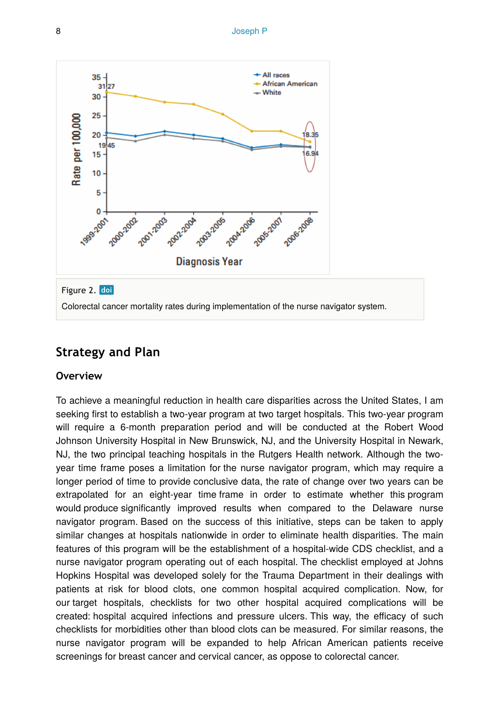

Colorectal cancer mortality rates during implementation of the nurse navigator system.

# **Strategy and Plan**

#### **Overview**

To achieve a meaningful reduction in health care disparities across the United States, I am seeking first to establish a two-year program at two target hospitals. This two-year program will require a 6-month preparation period and will be conducted at the Robert Wood Johnson University Hospital in New Brunswick, NJ, and the University Hospital in Newark, NJ, the two principal teaching hospitals in the Rutgers Health network. Although the twoyear time frame poses a limitation for the nurse navigator program, which may require a longer period of time to provide conclusive data, the rate of change over two years can be extrapolated for an eight-year time frame in order to estimate whether this program would produce significantly improved results when compared to the Delaware nurse navigator program. Based on the success of this initiative, steps can be taken to apply similar changes at hospitals nationwide in order to eliminate health disparities. The main features of this program will be the establishment of a hospital-wide CDS checklist, and a nurse navigator program operating out of each hospital. The checklist employed at Johns Hopkins Hospital was developed solely for the Trauma Department in their dealings with patients at risk for blood clots, one common hospital acquired complication. Now, for our target hospitals, checklists for two other hospital acquired complications will be created: hospital acquired infections and pressure ulcers. This way, the efficacy of such checklists for morbidities other than blood clots can be measured. For similar reasons, the nurse navigator program will be expanded to help African American patients receive screenings for breast cancer and cervical cancer, as oppose to colorectal cancer.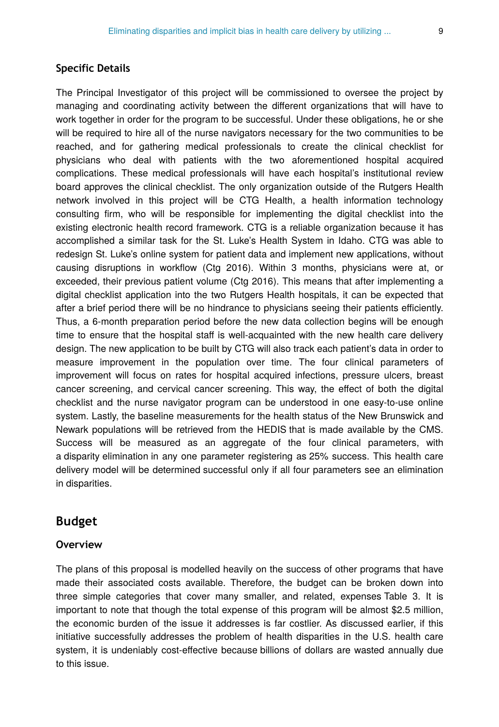#### **Specific Details**

The Principal Investigator of this project will be commissioned to oversee the project by managing and coordinating activity between the different organizations that will have to work together in order for the program to be successful. Under these obligations, he or she will be required to hire all of the nurse navigators necessary for the two communities to be reached, and for gathering medical professionals to create the clinical checklist for physicians who deal with patients with the two aforementioned hospital acquired complications. These medical professionals will have each hospital's institutional review board approves the clinical checklist. The only organization outside of the Rutgers Health network involved in this project will be CTG Health, a health information technology consulting firm, who will be responsible for implementing the digital checklist into the existing electronic health record framework. CTG is a reliable organization because it has accomplished a similar task for the St. Luke's Health System in Idaho. CTG was able to redesign St. Luke's online system for patient data and implement new applications, without causing disruptions in workflow (Ctg 2016). Within 3 months, physicians were at, or exceeded, their previous patient volume (Ctg 2016). This means that after implementing a digital checklist application into the two Rutgers Health hospitals, it can be expected that after a brief period there will be no hindrance to physicians seeing their patients efficiently. Thus, a 6-month preparation period before the new data collection begins will be enough time to ensure that the hospital staff is well-acquainted with the new health care delivery design. The new application to be built by CTG will also track each patient's data in order to measure improvement in the population over time. The four clinical parameters of improvement will focus on rates for hospital acquired infections, pressure ulcers, breast cancer screening, and cervical cancer screening. This way, the effect of both the digital checklist and the nurse navigator program can be understood in one easy-to-use online system. Lastly, the baseline measurements for the health status of the New Brunswick and Newark populations will be retrieved from the HEDIS that is made available by the CMS. Success will be measured as an aggregate of the four clinical parameters, with a disparity elimination in any one parameter registering as 25% success. This health care delivery model will be determined successful only if all four parameters see an elimination in disparities.

# **Budget**

#### **Overview**

The plans of this proposal is modelled heavily on the success of other programs that have made their associated costs available. Therefore, the budget can be broken down into three simple categories that cover many smaller, and related, expenses Table 3. It is important to note that though the total expense of this program will be almost \$2.5 million, the economic burden of the issue it addresses is far costlier. As discussed earlier, if this initiative successfully addresses the problem of health disparities in the U.S. health care system, it is undeniably cost-effective because billions of dollars are wasted annually due to this issue.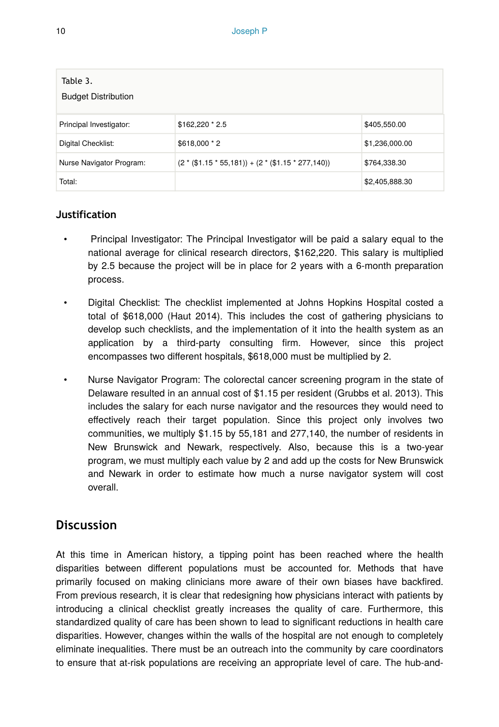| Table 3.<br><b>Budget Distribution</b> |                                                    |                |  |  |  |  |
|----------------------------------------|----------------------------------------------------|----------------|--|--|--|--|
| Principal Investigator:                | \$162,220 * 2.5                                    | \$405,550.00   |  |  |  |  |
| Digital Checklist:                     | $$618,000 * 2$                                     | \$1,236,000.00 |  |  |  |  |
| Nurse Navigator Program:               | $(2 * ($1.15 * 55,181)) + (2 * ($1.15 * 277,140))$ | \$764,338.30   |  |  |  |  |
| Total:                                 |                                                    | \$2,405,888.30 |  |  |  |  |

## **Justification**

- Principal Investigator: The Principal Investigator will be paid a salary equal to the national average for clinical research directors, \$162,220. This salary is multiplied by 2.5 because the project will be in place for 2 years with a 6-month preparation process.
- Digital Checklist: The checklist implemented at Johns Hopkins Hospital costed a total of \$618,000 (Haut 2014). This includes the cost of gathering physicians to develop such checklists, and the implementation of it into the health system as an application by a third-party consulting firm. However, since this project encompasses two different hospitals, \$618,000 must be multiplied by 2.
- Nurse Navigator Program: The colorectal cancer screening program in the state of Delaware resulted in an annual cost of \$1.15 per resident (Grubbs et al. 2013). This includes the salary for each nurse navigator and the resources they would need to effectively reach their target population. Since this project only involves two communities, we multiply \$1.15 by 55,181 and 277,140, the number of residents in New Brunswick and Newark, respectively. Also, because this is a two-year program, we must multiply each value by 2 and add up the costs for New Brunswick and Newark in order to estimate how much a nurse navigator system will cost overall.

# **Discussion**

At this time in American history, a tipping point has been reached where the health disparities between different populations must be accounted for. Methods that have primarily focused on making clinicians more aware of their own biases have backfired. From previous research, it is clear that redesigning how physicians interact with patients by introducing a clinical checklist greatly increases the quality of care. Furthermore, this standardized quality of care has been shown to lead to significant reductions in health care disparities. However, changes within the walls of the hospital are not enough to completely eliminate inequalities. There must be an outreach into the community by care coordinators to ensure that at-risk populations are receiving an appropriate level of care. The hub-and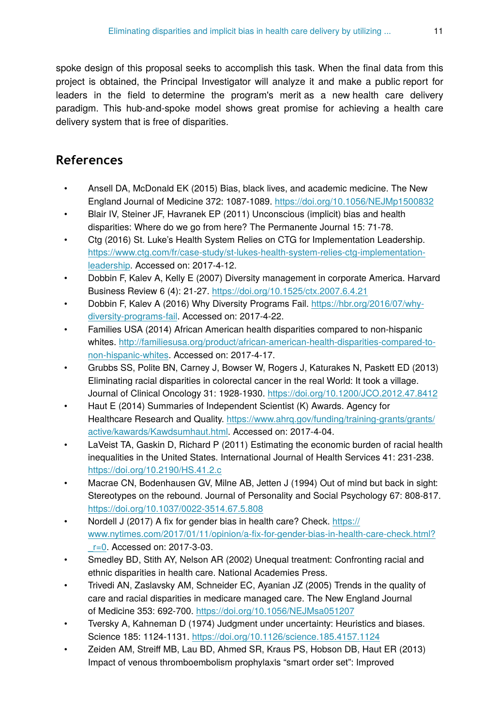spoke design of this proposal seeks to accomplish this task. When the final data from this project is obtained, the Principal Investigator will analyze it and make a public report for leaders in the field to determine the program's merit as a new health care delivery paradigm. This hub-and-spoke model shows great promise for achieving a health care delivery system that is free of disparities.

# **References**

- Ansell DA, McDonald EK (2015) Bias, black lives, and academic medicine. The New England Journal of Medicine 372: 1087‑1089.<https://doi.org/10.1056/NEJMp1500832>
- Blair IV, Steiner JF, Havranek EP (2011) Unconscious (implicit) bias and health disparities: Where do we go from here? The Permanente Journal 15: 71‑78.
- Ctg (2016) St. Luke's Health System Relies on CTG for Implementation Leadership. [https://www.ctg.com/fr/case-study/st-lukes-health-system-relies-ctg-implementation](https://www.ctg.com/fr/case-study/st-lukes-health-system-relies-ctg-implementation-leadership)[leadership.](https://www.ctg.com/fr/case-study/st-lukes-health-system-relies-ctg-implementation-leadership) Accessed on: 2017-4-12.
- Dobbin F, Kalev A, Kelly E (2007) Diversity management in corporate America. Harvard Business Review 6 (4): 21‑27. <https://doi.org/10.1525/ctx.2007.6.4.21>
- Dobbin F, Kalev A (2016) Why Diversity Programs Fail. [https://hbr.org/2016/07/why](https://hbr.org/2016/07/why-diversity-programs-fail)[diversity-programs-fail](https://hbr.org/2016/07/why-diversity-programs-fail). Accessed on: 2017-4-22.
- Families USA (2014) African American health disparities compared to non-hispanic whites. [http://familiesusa.org/product/african-american-health-disparities-compared-to](http://familiesusa.org/product/african-american-health-disparities-compared-to-non-hispanic-whites)[non-hispanic-whites.](http://familiesusa.org/product/african-american-health-disparities-compared-to-non-hispanic-whites) Accessed on: 2017-4-17.
- Grubbs SS, Polite BN, Carney J, Bowser W, Rogers J, Katurakes N, Paskett ED (2013) Eliminating racial disparities in colorectal cancer in the real World: It took a village. Journal of Clinical Oncology 31: 1928‑1930. <https://doi.org/10.1200/JCO.2012.47.8412>
- Haut E (2014) Summaries of Independent Scientist (K) Awards. Agency for Healthcare Research and Quality. [https://www.ahrq.gov/funding/training-grants/grants/](https://www.ahrq.gov/funding/training-grants/grants/active/kawards/Kawdsumhaut.html) [active/kawards/Kawdsumhaut.html](https://www.ahrq.gov/funding/training-grants/grants/active/kawards/Kawdsumhaut.html). Accessed on: 2017-4-04.
- LaVeist TA, Gaskin D, Richard P (2011) Estimating the economic burden of racial health inequalities in the United States. International Journal of Health Services 41: 231‑238. <https://doi.org/10.2190/HS.41.2.c>
- Macrae CN, Bodenhausen GV, Milne AB, Jetten J (1994) Out of mind but back in sight: Stereotypes on the rebound. Journal of Personality and Social Psychology 67: 808‑817. <https://doi.org/10.1037/0022-3514.67.5.808>
- Nordell J (2017) A fix for gender bias in health care? Check. [https://](https://www.nytimes.com/2017/01/11/opinion/a-fix-for-gender-bias-in-health-care-check.html?_r=0) www.nytimes.com/2017/01/11/opinion/a-fi[x-for-gender-bias-in-health-care-check.html?](https://www.nytimes.com/2017/01/11/opinion/a-fix-for-gender-bias-in-health-care-check.html?_r=0) [\\_r=0.](https://www.nytimes.com/2017/01/11/opinion/a-fix-for-gender-bias-in-health-care-check.html?_r=0) Accessed on: 2017-3-03.
- Smedley BD, Stith AY, Nelson AR (2002) Unequal treatment: Confronting racial and ethnic disparities in health care. National Academies Press.
- Trivedi AN, Zaslavsky AM, Schneider EC, Ayanian JZ (2005) Trends in the quality of care and racial disparities in medicare managed care. The New England Journal of Medicine 353: 692‑700. <https://doi.org/10.1056/NEJMsa051207>
- Tversky A, Kahneman D (1974) Judgment under uncertainty: Heuristics and biases. Science 185: 1124‑1131. <https://doi.org/10.1126/science.185.4157.1124>
- Zeiden AM, Streiff MB, Lau BD, Ahmed SR, Kraus PS, Hobson DB, Haut ER (2013) Impact of venous thromboembolism prophylaxis "smart order set": Improved